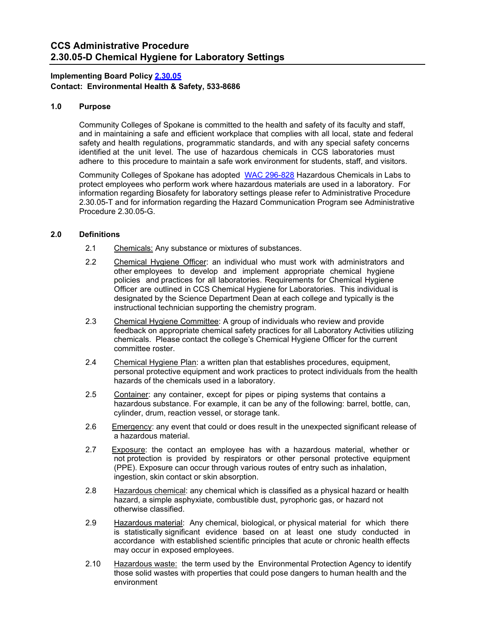## **Implementing Board Policy [2.30.05](https://ccs.spokane.edu/About-Us/Leadership/Board-of-Trustees/Policies-Procedures/Chapter2#AccWE2-9) Contact: Environmental Health & Safety, 533-8686**

## **1.0 Purpose**

Community Colleges of Spokane is committed to the health and safety of its faculty and staff, and in maintaining a safe and efficient workplace that complies with all local, state and federal safety and health regulations, programmatic standards, and with any special safety concerns identified at the unit level. The use of hazardous chemicals in CCS laboratories must adhere to this procedure to maintain a safe work environment for students, staff, and visitors.

Community Colleges of Spokane has adopted WAC [296-828](https://apps.leg.wa.gov/wac/default.aspx?cite=296-828) Hazardous Chemicals in Labs to protect employees who perform work where hazardous materials are used in a laboratory. For information regarding Biosafety for laboratory settings please refer to Administrative Procedure 2.30.05-T and for information regarding the Hazard Communication Program see Administrative Procedure 2.30.05-G.

## **2.0 Definitions**

- 2.1 Chemicals: Any substance or mixtures of substances.
- 2.2 Chemical Hygiene Officer: an individual who must work with administrators and other employees to develop and implement appropriate chemical hygiene policies and practices for all laboratories. Requirements for Chemical Hygiene Officer are outlined in CCS Chemical Hygiene for Laboratories. This individual is designated by the Science Department Dean at each college and typically is the instructional technician supporting the chemistry program.
- 2.3 Chemical Hygiene Committee: A group of individuals who review and provide feedback on appropriate chemical safety practices for all Laboratory Activities utilizing chemicals. Please contact the college's Chemical Hygiene Officer for the current committee roster.
- 2.4 Chemical Hygiene Plan: a written plan that establishes procedures, equipment, personal protective equipment and work practices to protect individuals from the health hazards of the chemicals used in a laboratory.
- 2.5 Container: any container, except for pipes or piping systems that contains a hazardous substance. For example, it can be any of the following: barrel, bottle, can, cylinder, drum, reaction vessel, or storage tank.
- 2.6 Emergency: any event that could or does result in the unexpected significant release of a hazardous material.
- 2.7 Exposure: the contact an employee has with a hazardous material, whether or not protection is provided by respirators or other personal protective equipment (PPE). Exposure can occur through various routes of entry such as inhalation, ingestion, skin contact or skin absorption.
- 2.8 Hazardous chemical: any chemical which is classified as a physical hazard or health hazard, a simple asphyxiate, combustible dust, pyrophoric gas, or hazard not otherwise classified.
- 2.9 **Hazardous material:** Any chemical, biological, or physical material for which there is statistically significant evidence based on at least one study conducted in accordance with established scientific principles that acute or chronic health effects may occur in exposed employees.
- 2.10 Hazardous waste: the term used by the Environmental Protection Agency to identify those solid wastes with properties that could pose dangers to human health and the environment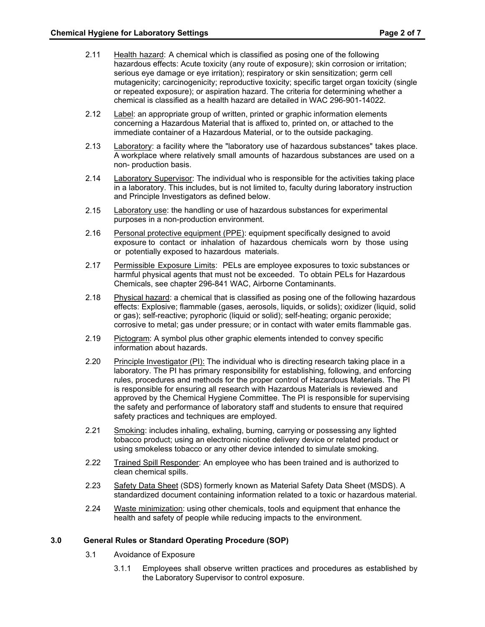- 2.11 Health hazard: A chemical which is classified as posing one of the following hazardous effects: Acute toxicity (any route of exposure); skin corrosion or irritation; serious eye damage or eye irritation); respiratory or skin sensitization; germ cell mutagenicity; carcinogenicity; reproductive toxicity; specific target organ toxicity (single or repeated exposure); or aspiration hazard. The criteria for determining whether a chemical is classified as a health hazard are detailed in WAC 296-901-14022.
- 2.12 Label: an appropriate group of written, printed or graphic information elements concerning a Hazardous Material that is affixed to, printed on, or attached to the immediate container of a Hazardous Material, or to the outside packaging.
- 2.13 Laboratory: a facility where the "laboratory use of hazardous substances" takes place. A workplace where relatively small amounts of hazardous substances are used on a non- production basis.
- 2.14 Laboratory Supervisor: The individual who is responsible for the activities taking place in a laboratory. This includes, but is not limited to, faculty during laboratory instruction and Principle Investigators as defined below.
- 2.15 Laboratory use: the handling or use of hazardous substances for experimental purposes in a non-production environment.
- 2.16 Personal protective equipment (PPE): equipment specifically designed to avoid exposure to contact or inhalation of hazardous chemicals worn by those using or potentially exposed to hazardous materials.
- 2.17 Permissible Exposure Limits: PELs are employee exposures to toxic substances or harmful physical agents that must not be exceeded. To obtain PELs for Hazardous Chemicals, see chapter 296-841 WAC, Airborne Contaminants.
- 2.18 Physical hazard: a chemical that is classified as posing one of the following hazardous effects: Explosive; flammable (gases, aerosols, liquids, or solids); oxidizer (liquid, solid or gas); self-reactive; pyrophoric (liquid or solid); self-heating; organic peroxide; corrosive to metal; gas under pressure; or in contact with water emits flammable gas.
- 2.19 Pictogram: A symbol plus other graphic elements intended to convey specific information about hazards.
- 2.20 Principle Investigator (PI): The individual who is directing research taking place in a laboratory. The PI has primary responsibility for establishing, following, and enforcing rules, procedures and methods for the proper control of Hazardous Materials. The PI is responsible for ensuring all research with Hazardous Materials is reviewed and approved by the Chemical Hygiene Committee. The PI is responsible for supervising the safety and performance of laboratory staff and students to ensure that required safety practices and techniques are employed.
- 2.21 Smoking: includes inhaling, exhaling, burning, carrying or possessing any lighted tobacco product; using an electronic nicotine delivery device or related product or using smokeless tobacco or any other device intended to simulate smoking.
- 2.22 Trained Spill Responder: An employee who has been trained and is authorized to clean chemical spills.
- 2.23 Safety Data Sheet (SDS) formerly known as Material Safety Data Sheet (MSDS). A standardized document containing information related to a toxic or hazardous material.
- 2.24 Waste minimization: using other chemicals, tools and equipment that enhance the health and safety of people while reducing impacts to the environment.

# **3.0 General Rules or Standard Operating Procedure (SOP)**

- 3.1 Avoidance of Exposure
	- 3.1.1 Employees shall observe written practices and procedures as established by the Laboratory Supervisor to control exposure.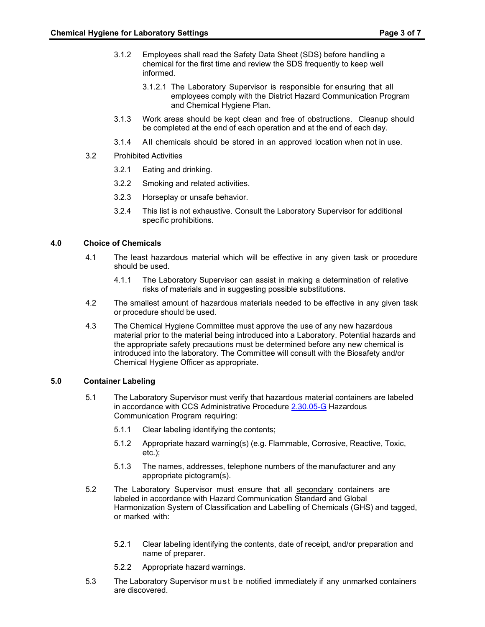- 3.1.2 Employees shall read the Safety Data Sheet (SDS) before handling a chemical for the first time and review the SDS frequently to keep well informed.
	- 3.1.2.1 The Laboratory Supervisor is responsible for ensuring that all employees comply with the District Hazard Communication Program and Chemical Hygiene Plan.
- 3.1.3 Work areas should be kept clean and free of obstructions. Cleanup should be completed at the end of each operation and at the end of each day.
- 3.1.4 All chemicals should be stored in an approved location when not in use.
- 3.2 Prohibited Activities
	- 3.2.1 Eating and drinking.
	- 3.2.2 Smoking and related activities.
	- 3.2.3 Horseplay or unsafe behavior.
	- 3.2.4 This list is not exhaustive. Consult the Laboratory Supervisor for additional specific prohibitions.

### **4.0 Choice of Chemicals**

- 4.1 The least hazardous material which will be effective in any given task or procedure should be used.
	- 4.1.1 The Laboratory Supervisor can assist in making a determination of relative risks of materials and in suggesting possible substitutions.
- 4.2 The smallest amount of hazardous materials needed to be effective in any given task or procedure should be used.
- 4.3 The Chemical Hygiene Committee must approve the use of any new hazardous material prior to the material being introduced into a Laboratory. Potential hazards and the appropriate safety precautions must be determined before any new chemical is introduced into the laboratory. The Committee will consult with the Biosafety and/or Chemical Hygiene Officer as appropriate.

### **5.0 Container Labeling**

- 5.1 The Laboratory Supervisor must verify that hazardous material containers are labeled in accordance with CCS Administrative Procedure [2.30.05-G](https://ccs.spokane.edu/ccsglobal/media/Global/PDFs/District/Policies/CH2/2.30.05_WorkplaceSafety/2-30-05G_HazardCommunicationProgram.pdf) Hazardous Communication Program requiring:
	- 5.1.1 Clear labeling identifying the contents;
	- 5.1.2 Appropriate hazard warning(s) (e.g. Flammable, Corrosive, Reactive, Toxic, etc.);
	- 5.1.3 The names, addresses, telephone numbers of the manufacturer and any appropriate pictogram(s).
- 5.2 The Laboratory Supervisor must ensure that all secondary containers are labeled in accordance with Hazard Communication Standard and Global Harmonization System of Classification and Labelling of Chemicals (GHS) and tagged, or marked with:
	- 5.2.1 Clear labeling identifying the contents, date of receipt, and/or preparation and name of preparer.
	- 5.2.2 Appropriate hazard warnings.
- 5.3 The Laboratory Supervisor must be notified immediately if any unmarked containers are discovered.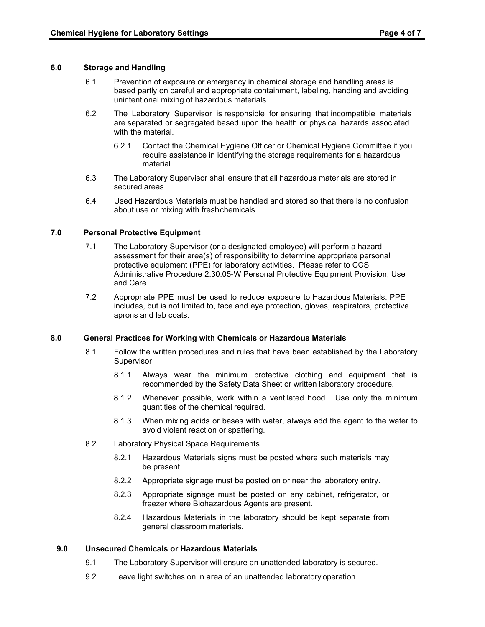### **6.0 Storage and Handling**

- 6.1 Prevention of exposure or emergency in chemical storage and handling areas is based partly on careful and appropriate containment, labeling, handing and avoiding unintentional mixing of hazardous materials.
- 6.2 The Laboratory Supervisor is responsible for ensuring that incompatible materials are separated or segregated based upon the health or physical hazards associated with the material.
	- 6.2.1 Contact the Chemical Hygiene Officer or Chemical Hygiene Committee if you require assistance in identifying the storage requirements for a hazardous material.
- 6.3 The Laboratory Supervisor shall ensure that all hazardous materials are stored in secured areas.
- 6.4 Used Hazardous Materials must be handled and stored so that there is no confusion about use or mixing with freshchemicals.

## **7.0 Personal Protective Equipment**

- 7.1 The Laboratory Supervisor (or a designated employee) will perform a hazard assessment for their area(s) of responsibility to determine appropriate personal protective equipment (PPE) for laboratory activities. Please refer to CCS Administrative Procedure 2.30.05-W Personal Protective Equipment Provision, Use and Care.
- 7.2 Appropriate PPE must be used to reduce exposure to Hazardous Materials. PPE includes, but is not limited to, face and eye protection, gloves, respirators, protective aprons and lab coats.

### **8.0 General Practices for Working with Chemicals or Hazardous Materials**

- 8.1 Follow the written procedures and rules that have been established by the Laboratory **Supervisor** 
	- 8.1.1 Always wear the minimum protective clothing and equipment that is recommended by the Safety Data Sheet or written laboratory procedure.
	- 8.1.2 Whenever possible, work within a ventilated hood. Use only the minimum quantities of the chemical required.
	- 8.1.3 When mixing acids or bases with water, always add the agent to the water to avoid violent reaction or spattering.
- 8.2 Laboratory Physical Space Requirements
	- 8.2.1 Hazardous Materials signs must be posted where such materials may be present.
	- 8.2.2 Appropriate signage must be posted on or near the laboratory entry.
	- 8.2.3 Appropriate signage must be posted on any cabinet, refrigerator, or freezer where Biohazardous Agents are present.
	- 8.2.4 Hazardous Materials in the laboratory should be kept separate from general classroom materials.

# **9.0 Unsecured Chemicals or Hazardous Materials**

- 9.1 The Laboratory Supervisor will ensure an unattended laboratory is secured.
- 9.2 Leave light switches on in area of an unattended laboratory operation.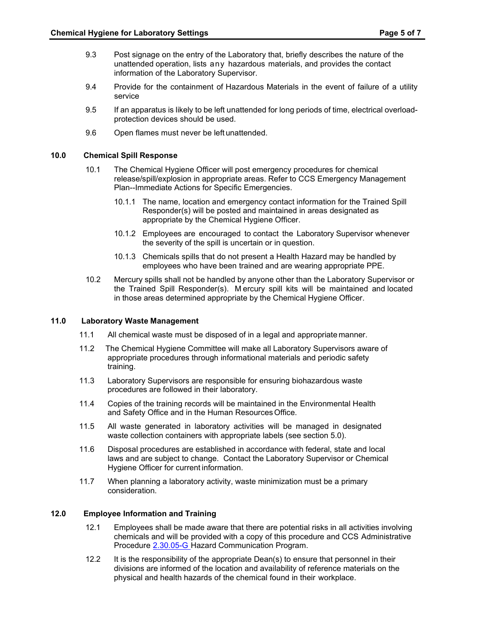- 9.3 Post signage on the entry of the Laboratory that, briefly describes the nature of the unattended operation, lists any hazardous materials, and provides the contact information of the Laboratory Supervisor.
- 9.4 Provide for the containment of Hazardous Materials in the event of failure of a utility service
- 9.5 If an apparatus is likely to be left unattended for long periods of time, electrical overloadprotection devices should be used.
- 9.6 Open flames must never be left unattended.

#### **10.0 Chemical Spill Response**

- 10.1 The Chemical Hygiene Officer will post emergency procedures for chemical release/spill/explosion in appropriate areas. Refer to CCS Emergency Management Plan--Immediate Actions for Specific Emergencies.
	- 10.1.1 The name, location and emergency contact information for the Trained Spill Responder(s) will be posted and maintained in areas designated as appropriate by the Chemical Hygiene Officer.
	- 10.1.2 Employees are encouraged to contact the Laboratory Supervisor whenever the severity of the spill is uncertain or in question.
	- 10.1.3 Chemicals spills that do not present a Health Hazard may be handled by employees who have been trained and are wearing appropriate PPE.
- 10.2 Mercury spills shall not be handled by anyone other than the Laboratory Supervisor or the Trained Spill Responder(s). M ercury spill kits will be maintained and located in those areas determined appropriate by the Chemical Hygiene Officer.

### **11.0 Laboratory Waste Management**

- 11.1 All chemical waste must be disposed of in a legal and appropriate manner.
- 11.2 The Chemical Hygiene Committee will make all Laboratory Supervisors aware of appropriate procedures through informational materials and periodic safety training.
- 11.3 Laboratory Supervisors are responsible for ensuring biohazardous waste procedures are followed in their laboratory.
- 11.4 Copies of the training records will be maintained in the Environmental Health and Safety Office and in the Human ResourcesOffice.
- 11.5 All waste generated in laboratory activities will be managed in designated waste collection containers with appropriate labels (see section 5.0).
- 11.6 Disposal procedures are established in accordance with federal, state and local laws and are subject to change. Contact the Laboratory Supervisor or Chemical Hygiene Officer for current information.
- 11.7 When planning a laboratory activity, waste minimization must be a primary consideration.

## **12.0 Employee Information and Training**

- 12.1 Employees shall be made aware that there are potential risks in all activities involving chemicals and will be provided with a copy of this procedure and CCS Administrative Procedure [2.30.05-G H](https://ccs.spokane.edu/ccsglobal/media/Global/PDFs/District/Policies/CH2/2.30.05_WorkplaceSafety/2-30-05G_HazardCommunicationProgram.pdf)azard Communication Program.
- 12.2 It is the responsibility of the appropriate Dean(s) to ensure that personnel in their divisions are informed of the location and availability of reference materials on the physical and health hazards of the chemical found in their workplace.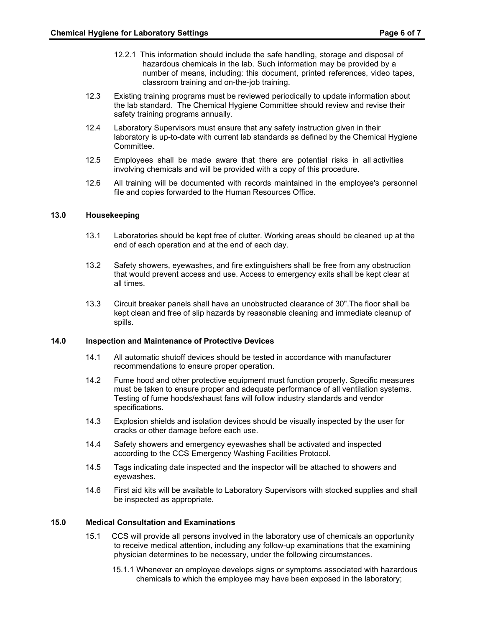- 12.2.1 This information should include the safe handling, storage and disposal of hazardous chemicals in the lab. Such information may be provided by a number of means, including: this document, printed references, video tapes, classroom training and on-the-job training.
- 12.3 Existing training programs must be reviewed periodically to update information about the lab standard. The Chemical Hygiene Committee should review and revise their safety training programs annually.
- 12.4 Laboratory Supervisors must ensure that any safety instruction given in their laboratory is up-to-date with current lab standards as defined by the Chemical Hygiene Committee.
- 12.5 Employees shall be made aware that there are potential risks in all activities involving chemicals and will be provided with a copy of this procedure.
- 12.6 All training will be documented with records maintained in the employee's personnel file and copies forwarded to the Human Resources Office.

#### **13.0 Housekeeping**

- 13.1 Laboratories should be kept free of clutter. Working areas should be cleaned up at the end of each operation and at the end of each day.
- 13.2 Safety showers, eyewashes, and fire extinguishers shall be free from any obstruction that would prevent access and use. Access to emergency exits shall be kept clear at all times.
- 13.3 Circuit breaker panels shall have an unobstructed clearance of 30".The floor shall be kept clean and free of slip hazards by reasonable cleaning and immediate cleanup of spills.

#### **14.0 Inspection and Maintenance of Protective Devices**

- 14.1 All automatic shutoff devices should be tested in accordance with manufacturer recommendations to ensure proper operation.
- 14.2 Fume hood and other protective equipment must function properly. Specific measures must be taken to ensure proper and adequate performance of all ventilation systems. Testing of fume hoods/exhaust fans will follow industry standards and vendor specifications.
- 14.3 Explosion shields and isolation devices should be visually inspected by the user for cracks or other damage before each use.
- 14.4 Safety showers and emergency eyewashes shall be activated and inspected according to the CCS Emergency Washing Facilities Protocol.
- 14.5 Tags indicating date inspected and the inspector will be attached to showers and eyewashes.
- 14.6 First aid kits will be available to Laboratory Supervisors with stocked supplies and shall be inspected as appropriate.

### **15.0 Medical Consultation and Examinations**

- 15.1 CCS will provide all persons involved in the laboratory use of chemicals an opportunity to receive medical attention, including any follow-up examinations that the examining physician determines to be necessary, under the following circumstances.
	- 15.1.1 Whenever an employee develops signs or symptoms associated with hazardous chemicals to which the employee may have been exposed in the laboratory;